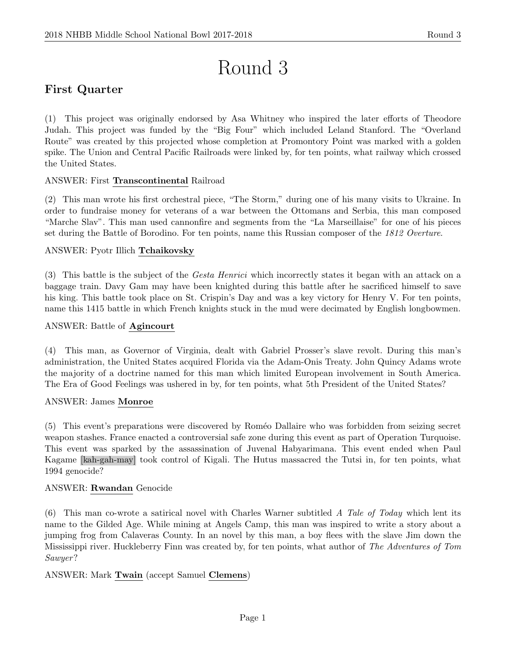# Round 3

# First Quarter

(1) This project was originally endorsed by Asa Whitney who inspired the later efforts of Theodore Judah. This project was funded by the "Big Four" which included Leland Stanford. The "Overland Route" was created by this projected whose completion at Promontory Point was marked with a golden spike. The Union and Central Pacific Railroads were linked by, for ten points, what railway which crossed the United States.

# ANSWER: First Transcontinental Railroad

(2) This man wrote his first orchestral piece, "The Storm," during one of his many visits to Ukraine. In order to fundraise money for veterans of a war between the Ottomans and Serbia, this man composed "Marche Slav". This man used cannonfire and segments from the "La Marseillaise" for one of his pieces set during the Battle of Borodino. For ten points, name this Russian composer of the 1812 Overture.

# ANSWER: Pyotr Illich Tchaikovsky

(3) This battle is the subject of the Gesta Henrici which incorrectly states it began with an attack on a baggage train. Davy Gam may have been knighted during this battle after he sacrificed himself to save his king. This battle took place on St. Crispin's Day and was a key victory for Henry V. For ten points, name this 1415 battle in which French knights stuck in the mud were decimated by English longbowmen.

#### ANSWER: Battle of Agincourt

(4) This man, as Governor of Virginia, dealt with Gabriel Prosser's slave revolt. During this man's administration, the United States acquired Florida via the Adam-Onis Treaty. John Quincy Adams wrote the majority of a doctrine named for this man which limited European involvement in South America. The Era of Good Feelings was ushered in by, for ten points, what 5th President of the United States?

#### ANSWER: James Monroe

(5) This event's preparations were discovered by Rom´eo Dallaire who was forbidden from seizing secret weapon stashes. France enacted a controversial safe zone during this event as part of Operation Turquoise. This event was sparked by the assassination of Juvenal Habyarimana. This event ended when Paul Kagame [kah-gah-may] took control of Kigali. The Hutus massacred the Tutsi in, for ten points, what 1994 genocide?

#### ANSWER: Rwandan Genocide

(6) This man co-wrote a satirical novel with Charles Warner subtitled A Tale of Today which lent its name to the Gilded Age. While mining at Angels Camp, this man was inspired to write a story about a jumping frog from Calaveras County. In an novel by this man, a boy flees with the slave Jim down the Mississippi river. Huckleberry Finn was created by, for ten points, what author of The Adventures of Tom Sawyer?

#### ANSWER: Mark Twain (accept Samuel Clemens)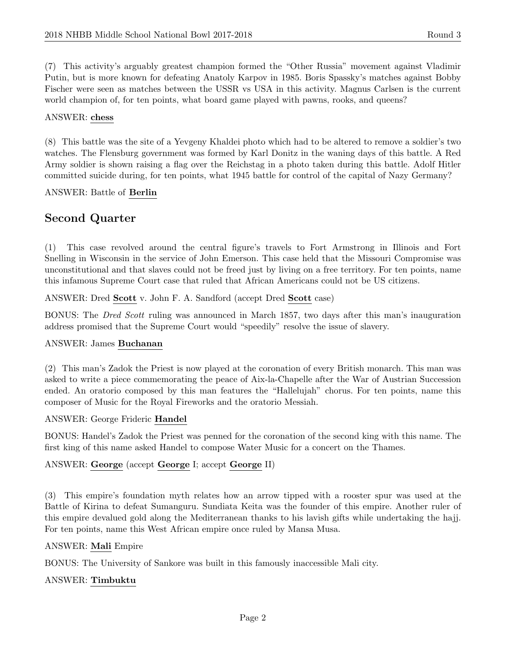(7) This activity's arguably greatest champion formed the "Other Russia" movement against Vladimir Putin, but is more known for defeating Anatoly Karpov in 1985. Boris Spassky's matches against Bobby Fischer were seen as matches between the USSR vs USA in this activity. Magnus Carlsen is the current world champion of, for ten points, what board game played with pawns, rooks, and queens?

#### ANSWER: chess

(8) This battle was the site of a Yevgeny Khaldei photo which had to be altered to remove a soldier's two watches. The Flensburg government was formed by Karl Donitz in the waning days of this battle. A Red Army soldier is shown raising a flag over the Reichstag in a photo taken during this battle. Adolf Hitler committed suicide during, for ten points, what 1945 battle for control of the capital of Nazy Germany?

ANSWER: Battle of Berlin

# Second Quarter

(1) This case revolved around the central figure's travels to Fort Armstrong in Illinois and Fort Snelling in Wisconsin in the service of John Emerson. This case held that the Missouri Compromise was unconstitutional and that slaves could not be freed just by living on a free territory. For ten points, name this infamous Supreme Court case that ruled that African Americans could not be US citizens.

ANSWER: Dred Scott v. John F. A. Sandford (accept Dred Scott case)

BONUS: The Dred Scott ruling was announced in March 1857, two days after this man's inauguration address promised that the Supreme Court would "speedily" resolve the issue of slavery.

#### ANSWER: James Buchanan

(2) This man's Zadok the Priest is now played at the coronation of every British monarch. This man was asked to write a piece commemorating the peace of Aix-la-Chapelle after the War of Austrian Succession ended. An oratorio composed by this man features the "Hallelujah" chorus. For ten points, name this composer of Music for the Royal Fireworks and the oratorio Messiah.

#### ANSWER: George Frideric Handel

BONUS: Handel's Zadok the Priest was penned for the coronation of the second king with this name. The first king of this name asked Handel to compose Water Music for a concert on the Thames.

#### ANSWER: George (accept George I; accept George II)

(3) This empire's foundation myth relates how an arrow tipped with a rooster spur was used at the Battle of Kirina to defeat Sumanguru. Sundiata Keita was the founder of this empire. Another ruler of this empire devalued gold along the Mediterranean thanks to his lavish gifts while undertaking the hajj. For ten points, name this West African empire once ruled by Mansa Musa.

#### ANSWER: Mali Empire

BONUS: The University of Sankore was built in this famously inaccessible Mali city.

#### ANSWER: Timbuktu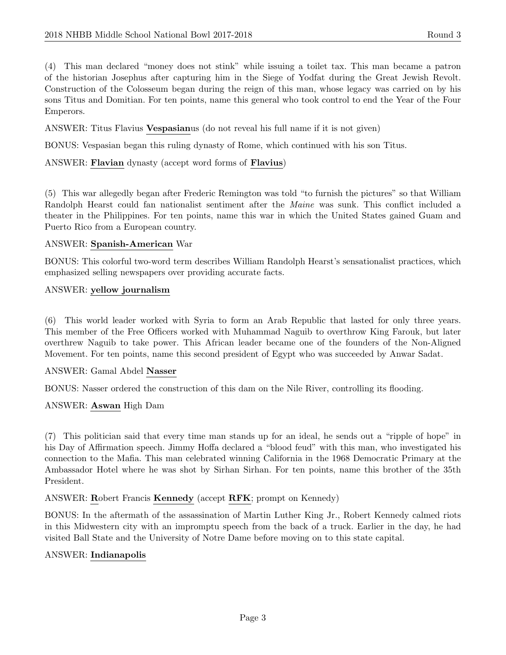(4) This man declared "money does not stink" while issuing a toilet tax. This man became a patron of the historian Josephus after capturing him in the Siege of Yodfat during the Great Jewish Revolt. Construction of the Colosseum began during the reign of this man, whose legacy was carried on by his sons Titus and Domitian. For ten points, name this general who took control to end the Year of the Four Emperors.

ANSWER: Titus Flavius Vespasianus (do not reveal his full name if it is not given)

BONUS: Vespasian began this ruling dynasty of Rome, which continued with his son Titus.

ANSWER: Flavian dynasty (accept word forms of Flavius)

(5) This war allegedly began after Frederic Remington was told "to furnish the pictures" so that William Randolph Hearst could fan nationalist sentiment after the Maine was sunk. This conflict included a theater in the Philippines. For ten points, name this war in which the United States gained Guam and Puerto Rico from a European country.

# ANSWER: Spanish-American War

BONUS: This colorful two-word term describes William Randolph Hearst's sensationalist practices, which emphasized selling newspapers over providing accurate facts.

#### ANSWER: yellow journalism

(6) This world leader worked with Syria to form an Arab Republic that lasted for only three years. This member of the Free Officers worked with Muhammad Naguib to overthrow King Farouk, but later overthrew Naguib to take power. This African leader became one of the founders of the Non-Aligned Movement. For ten points, name this second president of Egypt who was succeeded by Anwar Sadat.

#### ANSWER: Gamal Abdel Nasser

BONUS: Nasser ordered the construction of this dam on the Nile River, controlling its flooding.

# ANSWER: Aswan High Dam

(7) This politician said that every time man stands up for an ideal, he sends out a "ripple of hope" in his Day of Affirmation speech. Jimmy Hoffa declared a "blood feud" with this man, who investigated his connection to the Mafia. This man celebrated winning California in the 1968 Democratic Primary at the Ambassador Hotel where he was shot by Sirhan Sirhan. For ten points, name this brother of the 35th President.

ANSWER: Robert Francis Kennedy (accept RFK; prompt on Kennedy)

BONUS: In the aftermath of the assassination of Martin Luther King Jr., Robert Kennedy calmed riots in this Midwestern city with an impromptu speech from the back of a truck. Earlier in the day, he had visited Ball State and the University of Notre Dame before moving on to this state capital.

#### ANSWER: Indianapolis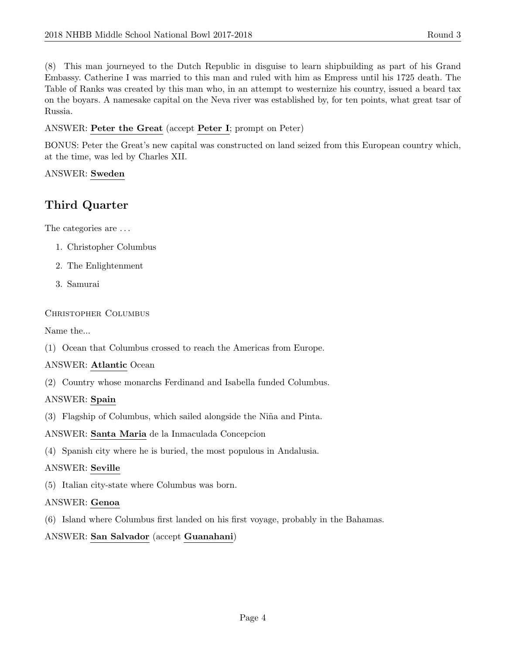(8) This man journeyed to the Dutch Republic in disguise to learn shipbuilding as part of his Grand Embassy. Catherine I was married to this man and ruled with him as Empress until his 1725 death. The Table of Ranks was created by this man who, in an attempt to westernize his country, issued a beard tax on the boyars. A namesake capital on the Neva river was established by, for ten points, what great tsar of Russia.

#### ANSWER: Peter the Great (accept Peter I; prompt on Peter)

BONUS: Peter the Great's new capital was constructed on land seized from this European country which, at the time, was led by Charles XII.

#### ANSWER: Sweden

# Third Quarter

The categories are  $\dots$ 

- 1. Christopher Columbus
- 2. The Enlightenment
- 3. Samurai

#### Christopher Columbus

Name the...

(1) Ocean that Columbus crossed to reach the Americas from Europe.

#### ANSWER: Atlantic Ocean

(2) Country whose monarchs Ferdinand and Isabella funded Columbus.

#### ANSWER: Spain

(3) Flagship of Columbus, which sailed alongside the Ni˜na and Pinta.

ANSWER: Santa Maria de la Inmaculada Concepcion

(4) Spanish city where he is buried, the most populous in Andalusia.

#### ANSWER: Seville

(5) Italian city-state where Columbus was born.

#### ANSWER: Genoa

(6) Island where Columbus first landed on his first voyage, probably in the Bahamas.

# ANSWER: San Salvador (accept Guanahani)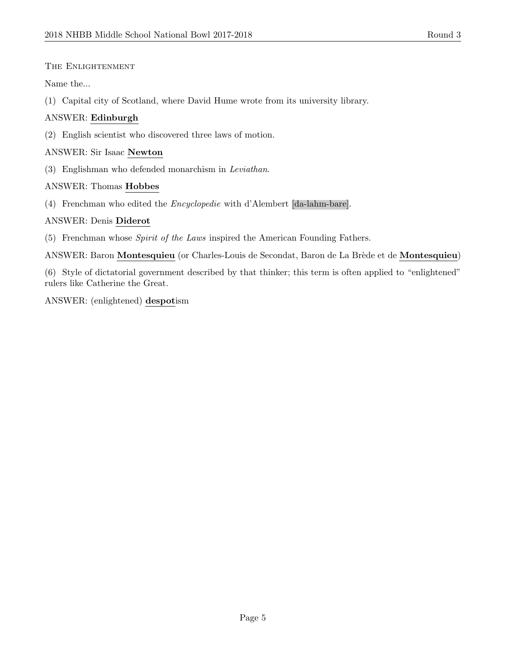THE ENLIGHTENMENT

Name the...

(1) Capital city of Scotland, where David Hume wrote from its university library.

# ANSWER: Edinburgh

(2) English scientist who discovered three laws of motion.

# ANSWER: Sir Isaac Newton

(3) Englishman who defended monarchism in Leviathan.

# ANSWER: Thomas Hobbes

(4) Frenchman who edited the Encyclopedie with d'Alembert [da-lahm-bare].

# ANSWER: Denis Diderot

- (5) Frenchman whose Spirit of the Laws inspired the American Founding Fathers.
- ANSWER: Baron Montesquieu (or Charles-Louis de Secondat, Baron de La Brède et de Montesquieu)

(6) Style of dictatorial government described by that thinker; this term is often applied to "enlightened" rulers like Catherine the Great.

ANSWER: (enlightened) despotism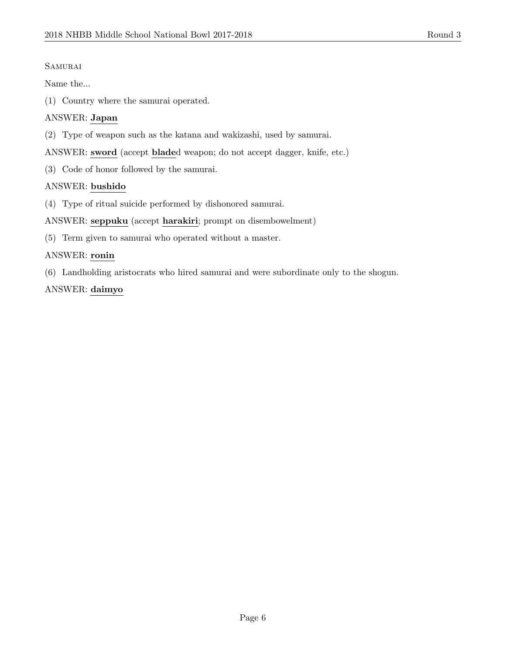#### **SAMURAI**

Name the...

(1) Country where the samurai operated.

# ANSWER: Japan

(2) Type of weapon such as the katana and wakizashi, used by samurai.

ANSWER: sword (accept bladed weapon; do not accept dagger, knife, etc.)

(3) Code of honor followed by the samurai.

# ANSWER: bushido

(4) Type of ritual suicide performed by dishonored samurai.

ANSWER: seppuku (accept harakiri; prompt on disembowelment)

(5) Term given to samurai who operated without a master.

# ANSWER: ronin

(6) Landholding aristocrats who hired samurai and were subordinate only to the shogun.

# ANSWER: daimyo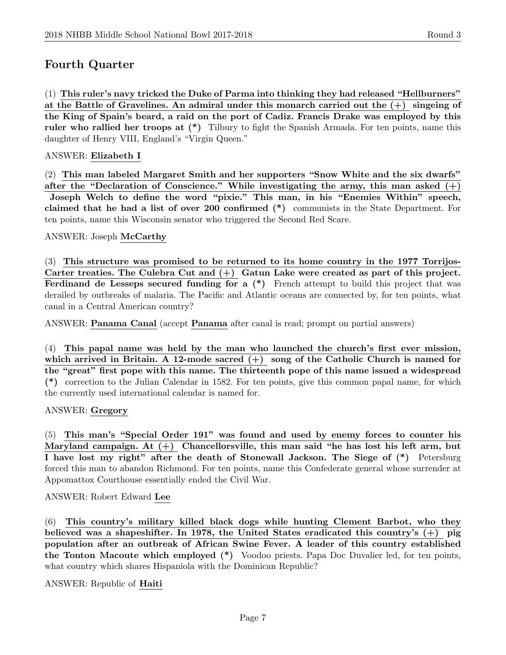# Fourth Quarter

(1) This ruler's navy tricked the Duke of Parma into thinking they had released "Hellburners" at the Battle of Gravelines. An admiral under this monarch carried out the  $(+)$  singeing of the King of Spain's beard, a raid on the port of Cadiz. Francis Drake was employed by this ruler who rallied her troops at (\*) Tilbury to fight the Spanish Armada. For ten points, name this daughter of Henry VIII, England's "Virgin Queen."

#### ANSWER: Elizabeth I

(2) This man labeled Margaret Smith and her supporters "Snow White and the six dwarfs" after the "Declaration of Conscience." While investigating the army, this man asked  $(+)$ Joseph Welch to define the word "pixie." This man, in his "Enemies Within" speech, claimed that he had a list of over 200 confirmed (\*) communists in the State Department. For ten points, name this Wisconsin senator who triggered the Second Red Scare.

ANSWER: Joseph McCarthy

(3) This structure was promised to be returned to its home country in the 1977 Torrijos-Carter treaties. The Culebra Cut and  $(+)$  Gatun Lake were created as part of this project. Ferdinand de Lesseps secured funding for a  $(*)$  French attempt to build this project that was derailed by outbreaks of malaria. The Pacific and Atlantic oceans are connected by, for ten points, what canal in a Central American country?

ANSWER: Panama Canal (accept Panama after canal is read; prompt on partial answers)

(4) This papal name was held by the man who launched the church's first ever mission, which arrived in Britain. A 12-mode sacred  $(+)$  song of the Catholic Church is named for the "great" first pope with this name. The thirteenth pope of this name issued a widespread (\*) correction to the Julian Calendar in 1582. For ten points, give this common papal name, for which the currently used international calendar is named for.

#### ANSWER: Gregory

(5) This man's "Special Order 191" was found and used by enemy forces to counter his Maryland campaign. At  $(+)$  Chancellorsville, this man said "he has lost his left arm, but I have lost my right" after the death of Stonewall Jackson. The Siege of (\*) Petersburg forced this man to abandon Richmond. For ten points, name this Confederate general whose surrender at Appomattox Courthouse essentially ended the Civil War.

ANSWER: Robert Edward Lee

(6) This country's military killed black dogs while hunting Clement Barbot, who they believed was a shapeshifter. In 1978, the United States eradicated this country's  $(+)$  pig population after an outbreak of African Swine Fever. A leader of this country established the Tonton Macoute which employed (\*) Voodoo priests. Papa Doc Duvalier led, for ten points, what country which shares Hispaniola with the Dominican Republic?

ANSWER: Republic of Haiti